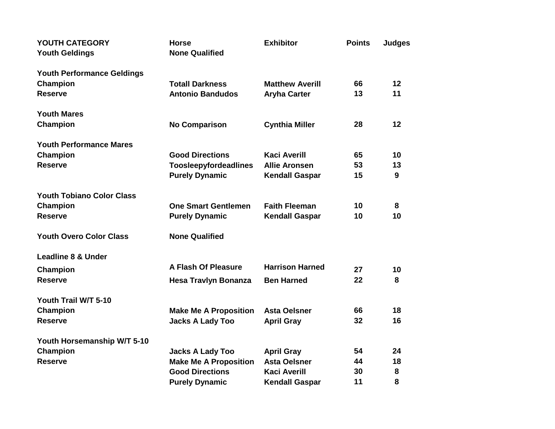| YOUTH CATEGORY<br><b>Youth Geldings</b> | <b>Horse</b><br><b>None Qualified</b> | <b>Exhibitor</b>       | <b>Points</b> | <b>Judges</b> |
|-----------------------------------------|---------------------------------------|------------------------|---------------|---------------|
| <b>Youth Performance Geldings</b>       |                                       |                        |               |               |
| Champion                                | <b>Totall Darkness</b>                | <b>Matthew Averill</b> | 66            | 12            |
| <b>Reserve</b>                          | <b>Antonio Bandudos</b>               | <b>Aryha Carter</b>    | 13            | 11            |
| <b>Youth Mares</b>                      |                                       |                        |               |               |
| Champion                                | <b>No Comparison</b>                  | <b>Cynthia Miller</b>  | 28            | 12            |
| <b>Youth Performance Mares</b>          |                                       |                        |               |               |
| <b>Champion</b>                         | <b>Good Directions</b>                | <b>Kaci Averill</b>    | 65            | 10            |
| <b>Reserve</b>                          | Toosleepyfordeadlines                 | <b>Allie Aronsen</b>   | 53            | 13            |
|                                         | <b>Purely Dynamic</b>                 | <b>Kendall Gaspar</b>  | 15            | 9             |
| <b>Youth Tobiano Color Class</b>        |                                       |                        |               |               |
| Champion                                | <b>One Smart Gentlemen</b>            | <b>Faith Fleeman</b>   | 10            | 8             |
| <b>Reserve</b>                          | <b>Purely Dynamic</b>                 | <b>Kendall Gaspar</b>  | 10            | 10            |
| <b>Youth Overo Color Class</b>          | <b>None Qualified</b>                 |                        |               |               |
| <b>Leadline 8 &amp; Under</b>           |                                       |                        |               |               |
| Champion                                | <b>A Flash Of Pleasure</b>            | <b>Harrison Harned</b> | 27            | 10            |
| <b>Reserve</b>                          | <b>Hesa Travlyn Bonanza</b>           | <b>Ben Harned</b>      | 22            | 8             |
| Youth Trail W/T 5-10                    |                                       |                        |               |               |
| Champion                                | <b>Make Me A Proposition</b>          | <b>Asta Oelsner</b>    | 66            | 18            |
| <b>Reserve</b>                          | <b>Jacks A Lady Too</b>               | <b>April Gray</b>      | 32            | 16            |
| Youth Horsemanship W/T 5-10             |                                       |                        |               |               |
| Champion                                | <b>Jacks A Lady Too</b>               | <b>April Gray</b>      | 54            | 24            |
| <b>Reserve</b>                          | <b>Make Me A Proposition</b>          | <b>Asta Oelsner</b>    | 44            | 18            |
|                                         | <b>Good Directions</b>                | <b>Kaci Averill</b>    | 30            | 8             |
|                                         | <b>Purely Dynamic</b>                 | <b>Kendall Gaspar</b>  | 11            | 8             |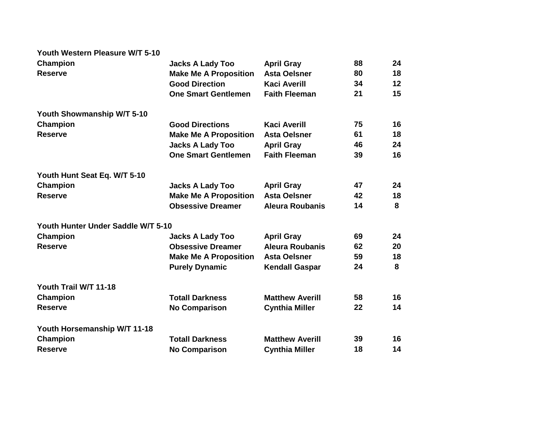## **Youth Western Pleasure W/T 5-10**

| Champion                           | <b>Jacks A Lady Too</b>      | <b>April Gray</b>      | 88 | 24 |
|------------------------------------|------------------------------|------------------------|----|----|
| <b>Reserve</b>                     | <b>Make Me A Proposition</b> | <b>Asta Oelsner</b>    | 80 | 18 |
|                                    | <b>Good Direction</b>        | <b>Kaci Averill</b>    | 34 | 12 |
|                                    | <b>One Smart Gentlemen</b>   | <b>Faith Fleeman</b>   | 21 | 15 |
| Youth Showmanship W/T 5-10         |                              |                        |    |    |
| Champion                           | <b>Good Directions</b>       | <b>Kaci Averill</b>    | 75 | 16 |
| <b>Reserve</b>                     | <b>Make Me A Proposition</b> | <b>Asta Oelsner</b>    | 61 | 18 |
|                                    | <b>Jacks A Lady Too</b>      | <b>April Gray</b>      | 46 | 24 |
|                                    | <b>One Smart Gentlemen</b>   | <b>Faith Fleeman</b>   | 39 | 16 |
| Youth Hunt Seat Eq. W/T 5-10       |                              |                        |    |    |
| Champion                           | <b>Jacks A Lady Too</b>      | <b>April Gray</b>      | 47 | 24 |
| <b>Reserve</b>                     | <b>Make Me A Proposition</b> | <b>Asta Oelsner</b>    | 42 | 18 |
|                                    | <b>Obsessive Dreamer</b>     | <b>Aleura Roubanis</b> | 14 | 8  |
| Youth Hunter Under Saddle W/T 5-10 |                              |                        |    |    |
| Champion                           | <b>Jacks A Lady Too</b>      | <b>April Gray</b>      | 69 | 24 |
| <b>Reserve</b>                     | <b>Obsessive Dreamer</b>     | <b>Aleura Roubanis</b> | 62 | 20 |
|                                    | <b>Make Me A Proposition</b> | <b>Asta Oelsner</b>    | 59 | 18 |
|                                    | <b>Purely Dynamic</b>        | <b>Kendall Gaspar</b>  | 24 | 8  |
| Youth Trail W/T 11-18              |                              |                        |    |    |
| Champion                           | <b>Totall Darkness</b>       | <b>Matthew Averill</b> | 58 | 16 |
| <b>Reserve</b>                     | <b>No Comparison</b>         | <b>Cynthia Miller</b>  | 22 | 14 |
| Youth Horsemanship W/T 11-18       |                              |                        |    |    |
| Champion                           | <b>Totall Darkness</b>       | <b>Matthew Averill</b> | 39 | 16 |
| <b>Reserve</b>                     | <b>No Comparison</b>         | <b>Cynthia Miller</b>  | 18 | 14 |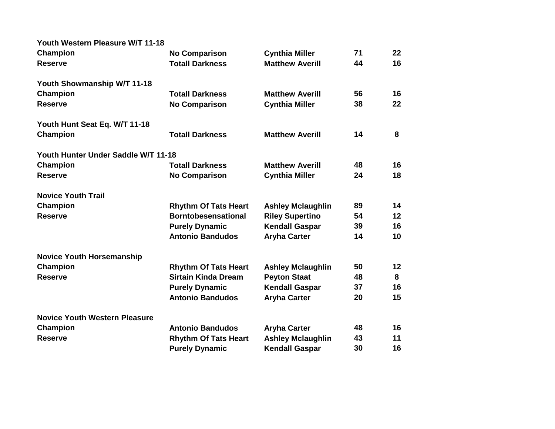| Youth Western Pleasure W/T 11-18     |                             |                          |    |    |
|--------------------------------------|-----------------------------|--------------------------|----|----|
| Champion                             | <b>No Comparison</b>        | <b>Cynthia Miller</b>    | 71 | 22 |
| <b>Reserve</b>                       | <b>Totall Darkness</b>      | <b>Matthew Averill</b>   | 44 | 16 |
| Youth Showmanship W/T 11-18          |                             |                          |    |    |
| Champion                             | <b>Totall Darkness</b>      | <b>Matthew Averill</b>   | 56 | 16 |
| <b>Reserve</b>                       | <b>No Comparison</b>        | <b>Cynthia Miller</b>    | 38 | 22 |
| Youth Hunt Seat Eq. W/T 11-18        |                             |                          |    |    |
| <b>Champion</b>                      | <b>Totall Darkness</b>      | <b>Matthew Averill</b>   | 14 | 8  |
| Youth Hunter Under Saddle W/T 11-18  |                             |                          |    |    |
| Champion                             | <b>Totall Darkness</b>      | <b>Matthew Averill</b>   | 48 | 16 |
| <b>Reserve</b>                       | <b>No Comparison</b>        | <b>Cynthia Miller</b>    | 24 | 18 |
| <b>Novice Youth Trail</b>            |                             |                          |    |    |
| Champion                             | <b>Rhythm Of Tats Heart</b> | <b>Ashley Mclaughlin</b> | 89 | 14 |
| <b>Reserve</b>                       | <b>Borntobesensational</b>  | <b>Riley Supertino</b>   | 54 | 12 |
|                                      | <b>Purely Dynamic</b>       | <b>Kendall Gaspar</b>    | 39 | 16 |
|                                      | <b>Antonio Bandudos</b>     | <b>Aryha Carter</b>      | 14 | 10 |
| <b>Novice Youth Horsemanship</b>     |                             |                          |    |    |
| Champion                             | <b>Rhythm Of Tats Heart</b> | <b>Ashley Mclaughlin</b> | 50 | 12 |
| <b>Reserve</b>                       | <b>Sirtain Kinda Dream</b>  | <b>Peyton Staat</b>      | 48 | 8  |
|                                      | <b>Purely Dynamic</b>       | <b>Kendall Gaspar</b>    | 37 | 16 |
|                                      | <b>Antonio Bandudos</b>     | <b>Aryha Carter</b>      | 20 | 15 |
| <b>Novice Youth Western Pleasure</b> |                             |                          |    |    |
| Champion                             | <b>Antonio Bandudos</b>     | <b>Aryha Carter</b>      | 48 | 16 |
| <b>Reserve</b>                       | <b>Rhythm Of Tats Heart</b> | <b>Ashley Mclaughlin</b> | 43 | 11 |
|                                      | <b>Purely Dynamic</b>       | <b>Kendall Gaspar</b>    | 30 | 16 |
|                                      |                             |                          |    |    |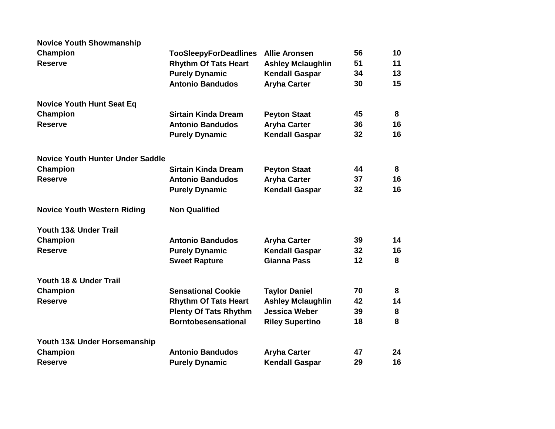| <b>Novice Youth Showmanship</b>         |                              |                          |    |    |
|-----------------------------------------|------------------------------|--------------------------|----|----|
| <b>Champion</b>                         | <b>TooSleepyForDeadlines</b> | <b>Allie Aronsen</b>     | 56 | 10 |
| <b>Reserve</b>                          | <b>Rhythm Of Tats Heart</b>  | <b>Ashley Mclaughlin</b> | 51 | 11 |
|                                         | <b>Purely Dynamic</b>        | <b>Kendall Gaspar</b>    | 34 | 13 |
|                                         | <b>Antonio Bandudos</b>      | <b>Aryha Carter</b>      | 30 | 15 |
| <b>Novice Youth Hunt Seat Eq</b>        |                              |                          |    |    |
| <b>Champion</b>                         | <b>Sirtain Kinda Dream</b>   | <b>Peyton Staat</b>      | 45 | 8  |
| <b>Reserve</b>                          | <b>Antonio Bandudos</b>      | <b>Aryha Carter</b>      | 36 | 16 |
|                                         | <b>Purely Dynamic</b>        | <b>Kendall Gaspar</b>    | 32 | 16 |
| <b>Novice Youth Hunter Under Saddle</b> |                              |                          |    |    |
| <b>Champion</b>                         | <b>Sirtain Kinda Dream</b>   | <b>Peyton Staat</b>      | 44 | 8  |
| <b>Reserve</b>                          | <b>Antonio Bandudos</b>      | <b>Aryha Carter</b>      | 37 | 16 |
|                                         | <b>Purely Dynamic</b>        | <b>Kendall Gaspar</b>    | 32 | 16 |
| <b>Novice Youth Western Riding</b>      | <b>Non Qualified</b>         |                          |    |    |
| Youth 13& Under Trail                   |                              |                          |    |    |
| Champion                                | <b>Antonio Bandudos</b>      | <b>Aryha Carter</b>      | 39 | 14 |
| <b>Reserve</b>                          | <b>Purely Dynamic</b>        | <b>Kendall Gaspar</b>    | 32 | 16 |
|                                         | <b>Sweet Rapture</b>         | <b>Gianna Pass</b>       | 12 | 8  |
| Youth 18 & Under Trail                  |                              |                          |    |    |
| Champion                                | <b>Sensational Cookie</b>    | <b>Taylor Daniel</b>     | 70 | 8  |
| <b>Reserve</b>                          | <b>Rhythm Of Tats Heart</b>  | <b>Ashley Mclaughlin</b> | 42 | 14 |
|                                         | <b>Plenty Of Tats Rhythm</b> | <b>Jessica Weber</b>     | 39 | 8  |
|                                         | <b>Borntobesensational</b>   | <b>Riley Supertino</b>   | 18 | 8  |
| Youth 13& Under Horsemanship            |                              |                          |    |    |
| Champion                                | <b>Antonio Bandudos</b>      | <b>Aryha Carter</b>      | 47 | 24 |
| <b>Reserve</b>                          | <b>Purely Dynamic</b>        | <b>Kendall Gaspar</b>    | 29 | 16 |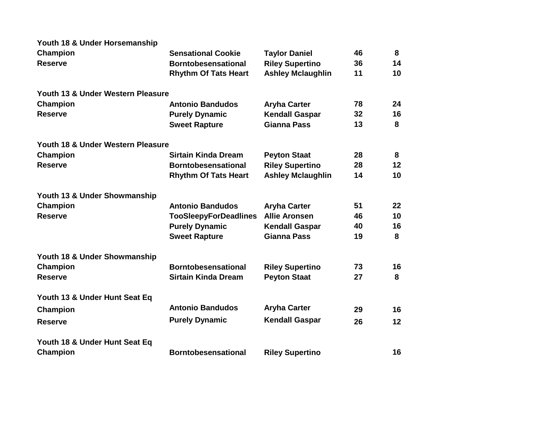| Youth 18 & Under Horsemanship<br>Champion | <b>Sensational Cookie</b>    | <b>Taylor Daniel</b>     | 46 | 8  |
|-------------------------------------------|------------------------------|--------------------------|----|----|
| <b>Reserve</b>                            | <b>Borntobesensational</b>   | <b>Riley Supertino</b>   | 36 | 14 |
|                                           | <b>Rhythm Of Tats Heart</b>  | <b>Ashley Mclaughlin</b> | 11 | 10 |
| Youth 13 & Under Western Pleasure         |                              |                          |    |    |
| Champion                                  | <b>Antonio Bandudos</b>      | <b>Aryha Carter</b>      | 78 | 24 |
| <b>Reserve</b>                            | <b>Purely Dynamic</b>        | <b>Kendall Gaspar</b>    | 32 | 16 |
|                                           | <b>Sweet Rapture</b>         | <b>Gianna Pass</b>       | 13 | 8  |
| Youth 18 & Under Western Pleasure         |                              |                          |    |    |
| <b>Champion</b>                           | <b>Sirtain Kinda Dream</b>   | <b>Peyton Staat</b>      | 28 | 8  |
| <b>Reserve</b>                            | <b>Borntobesensational</b>   | <b>Riley Supertino</b>   | 28 | 12 |
|                                           | <b>Rhythm Of Tats Heart</b>  | <b>Ashley Mclaughlin</b> | 14 | 10 |
| Youth 13 & Under Showmanship              |                              |                          |    |    |
| Champion                                  | <b>Antonio Bandudos</b>      | <b>Aryha Carter</b>      | 51 | 22 |
| <b>Reserve</b>                            | <b>TooSleepyForDeadlines</b> | <b>Allie Aronsen</b>     | 46 | 10 |
|                                           | <b>Purely Dynamic</b>        | <b>Kendall Gaspar</b>    | 40 | 16 |
|                                           | <b>Sweet Rapture</b>         | <b>Gianna Pass</b>       | 19 | 8  |
| Youth 18 & Under Showmanship              |                              |                          |    |    |
| Champion                                  | <b>Borntobesensational</b>   | <b>Riley Supertino</b>   | 73 | 16 |
| <b>Reserve</b>                            | <b>Sirtain Kinda Dream</b>   | <b>Peyton Staat</b>      | 27 | 8  |
|                                           |                              |                          |    |    |
| Youth 13 & Under Hunt Seat Eq             |                              |                          |    |    |
| Champion                                  | <b>Antonio Bandudos</b>      | <b>Aryha Carter</b>      | 29 | 16 |
| <b>Reserve</b>                            | <b>Purely Dynamic</b>        | <b>Kendall Gaspar</b>    | 26 | 12 |
|                                           |                              |                          |    |    |
| Youth 18 & Under Hunt Seat Eq             |                              |                          |    |    |
| Champion                                  | <b>Borntobesensational</b>   | <b>Riley Supertino</b>   |    | 16 |
|                                           |                              |                          |    |    |